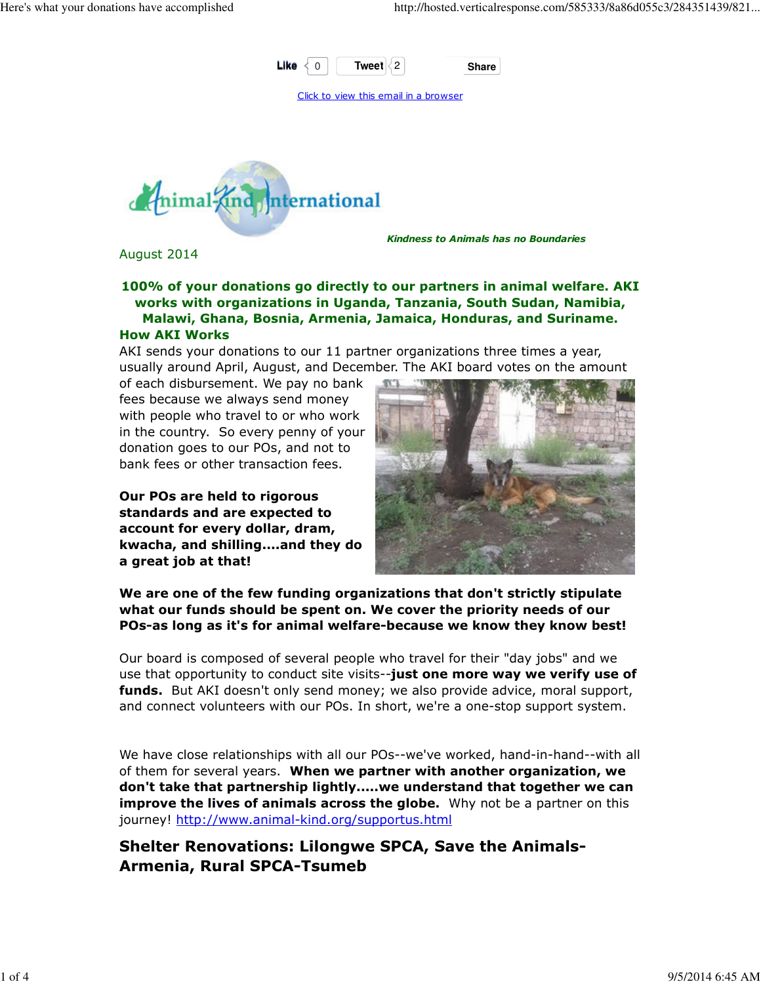

Click to view this email in a browser



Kindness to Animals has no Boundaries

August 2014

#### 100% of your donations go directly to our partners in animal welfare. AKI works with organizations in Uganda, Tanzania, South Sudan, Namibia, Malawi, Ghana, Bosnia, Armenia, Jamaica, Honduras, and Suriname. How AKI Works

AKI sends your donations to our 11 partner organizations three times a year, usually around April, August, and December. The AKI board votes on the amount

of each disbursement. We pay no bank fees because we always send money with people who travel to or who work in the country. So every penny of your donation goes to our POs, and not to bank fees or other transaction fees.

Our POs are held to rigorous standards and are expected to account for every dollar, dram, kwacha, and shilling....and they do a great job at that!



We are one of the few funding organizations that don't strictly stipulate what our funds should be spent on. We cover the priority needs of our POs-as long as it's for animal welfare-because we know they know best!

Our board is composed of several people who travel for their "day jobs" and we use that opportunity to conduct site visits--just one more way we verify use of funds. But AKI doesn't only send money; we also provide advice, moral support, and connect volunteers with our POs. In short, we're a one-stop support system.

We have close relationships with all our POs--we've worked, hand-in-hand--with all of them for several years. When we partner with another organization, we don't take that partnership lightly.....we understand that together we can **improve the lives of animals across the globe.** Why not be a partner on this journey! http://www.animal-kind.org/supportus.html

Shelter Renovations: Lilongwe SPCA, Save the Animals-Armenia, Rural SPCA-Tsumeb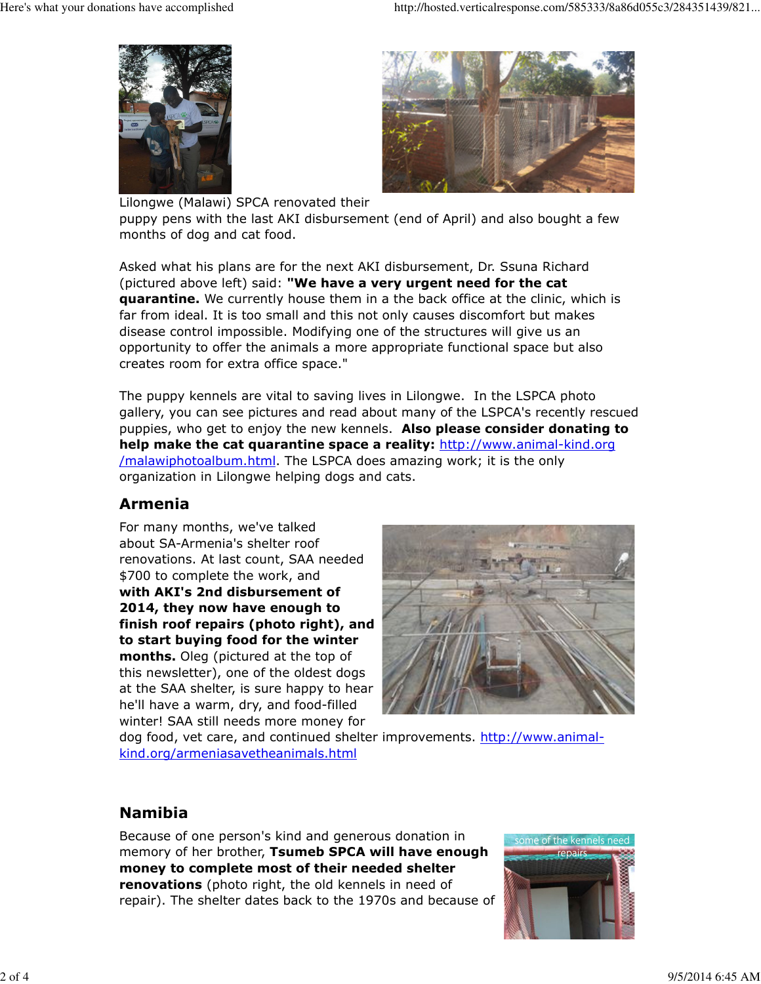



Lilongwe (Malawi) SPCA renovated their puppy pens with the last AKI disbursement (end of April) and also bought a few months of dog and cat food.

Asked what his plans are for the next AKI disbursement, Dr. Ssuna Richard (pictured above left) said: "We have a very urgent need for the cat **quarantine.** We currently house them in a the back office at the clinic, which is far from ideal. It is too small and this not only causes discomfort but makes disease control impossible. Modifying one of the structures will give us an opportunity to offer the animals a more appropriate functional space but also creates room for extra office space."

The puppy kennels are vital to saving lives in Lilongwe. In the LSPCA photo gallery, you can see pictures and read about many of the LSPCA's recently rescued puppies, who get to enjoy the new kennels. Also please consider donating to help make the cat quarantine space a reality: http://www.animal-kind.org /malawiphotoalbum.html. The LSPCA does amazing work; it is the only organization in Lilongwe helping dogs and cats.

## Armenia

For many months, we've talked about SA-Armenia's shelter roof renovations. At last count, SAA needed \$700 to complete the work, and with AKI's 2nd disbursement of 2014, they now have enough to finish roof repairs (photo right), and to start buying food for the winter months. Oleg (pictured at the top of this newsletter), one of the oldest dogs at the SAA shelter, is sure happy to hear he'll have a warm, dry, and food-filled winter! SAA still needs more money for



dog food, vet care, and continued shelter improvements. http://www.animalkind.org/armeniasavetheanimals.html

## Namibia

Because of one person's kind and generous donation in memory of her brother, Tsumeb SPCA will have enough money to complete most of their needed shelter **renovations** (photo right, the old kennels in need of repair). The shelter dates back to the 1970s and because of

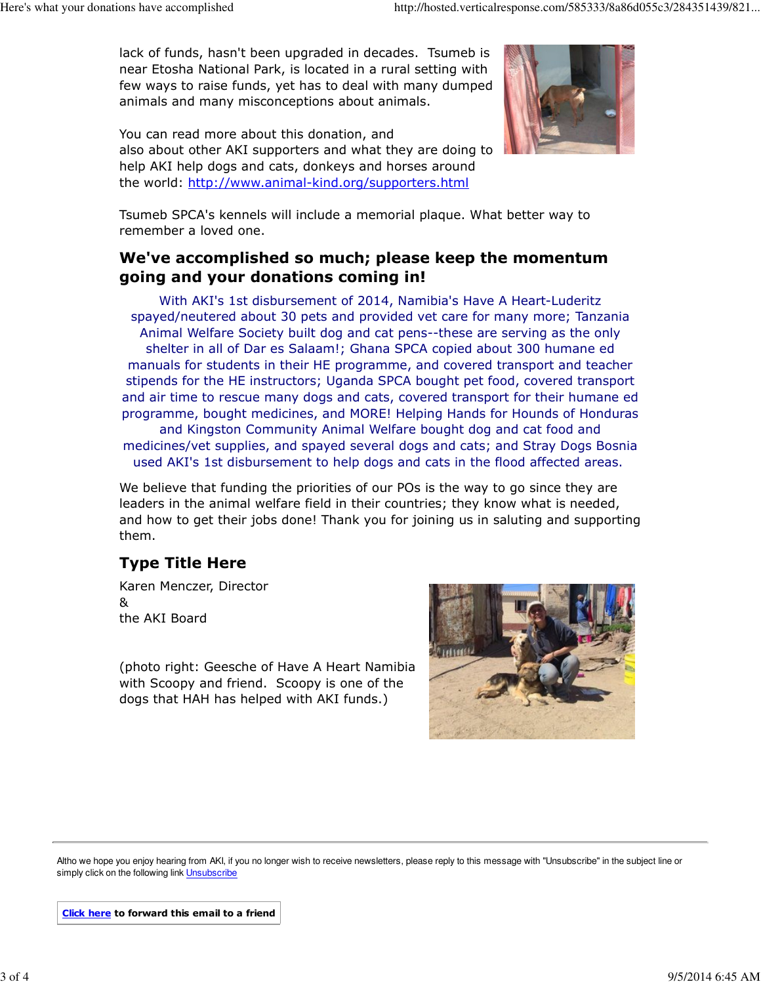lack of funds, hasn't been upgraded in decades. Tsumeb is near Etosha National Park, is located in a rural setting with few ways to raise funds, yet has to deal with many dumped animals and many misconceptions about animals.

You can read more about this donation, and also about other AKI supporters and what they are doing to help AKI help dogs and cats, donkeys and horses around the world: http://www.animal-kind.org/supporters.html



Tsumeb SPCA's kennels will include a memorial plaque. What better way to remember a loved one.

#### We've accomplished so much; please keep the momentum going and your donations coming in!

With AKI's 1st disbursement of 2014, Namibia's Have A Heart-Luderitz spayed/neutered about 30 pets and provided vet care for many more; Tanzania Animal Welfare Society built dog and cat pens--these are serving as the only shelter in all of Dar es Salaam!; Ghana SPCA copied about 300 humane ed manuals for students in their HE programme, and covered transport and teacher stipends for the HE instructors; Uganda SPCA bought pet food, covered transport and air time to rescue many dogs and cats, covered transport for their humane ed programme, bought medicines, and MORE! Helping Hands for Hounds of Honduras and Kingston Community Animal Welfare bought dog and cat food and medicines/vet supplies, and spayed several dogs and cats; and Stray Dogs Bosnia used AKI's 1st disbursement to help dogs and cats in the flood affected areas.

We believe that funding the priorities of our POs is the way to go since they are leaders in the animal welfare field in their countries; they know what is needed, and how to get their jobs done! Thank you for joining us in saluting and supporting them.

# Type Title Here

Karen Menczer, Director & the AKI Board

(photo right: Geesche of Have A Heart Namibia with Scoopy and friend. Scoopy is one of the dogs that HAH has helped with AKI funds.)



Altho we hope you enjoy hearing from AKI, if you no longer wish to receive newsletters, please reply to this message with "Unsubscribe" in the subject line or simply click on the following link Unsubscribe

Click here to forward this email to a friend